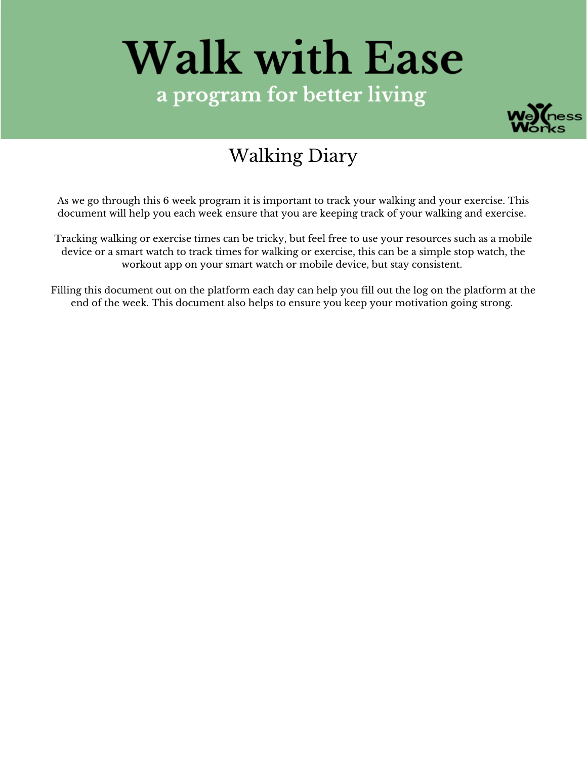# **Walk with Ease** a program for better living



### Walking Diary

As we go through this 6 week program it is important to track your walking and your exercise. This document will help you each week ensure that you are keeping track of your walking and exercise.

Tracking walking or exercise times can be tricky, but feel free to use your resources such as a mobile device or a smart watch to track times for walking or exercise, this can be a simple stop watch, the workout app on your smart watch or mobile device, but stay consistent.

Filling this document out on the platform each day can help you fill out the log on the platform at the end of the week. This document also helps to ensure you keep your motivation going strong.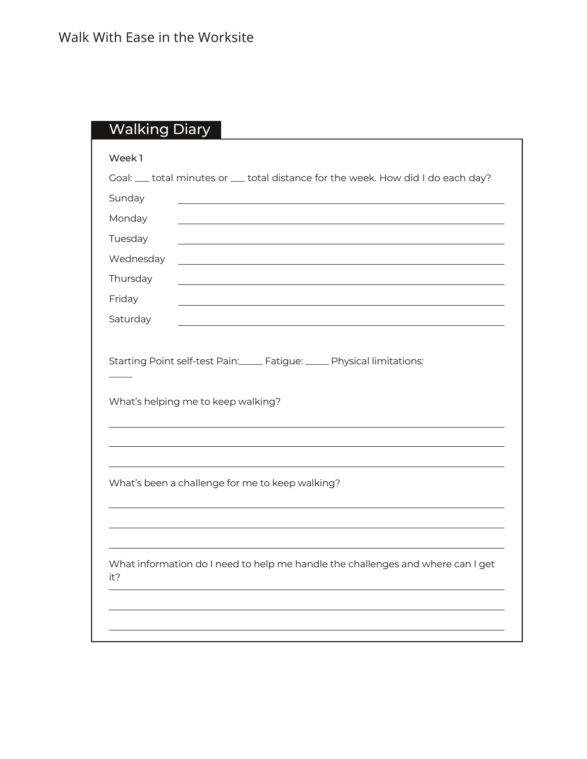|           | Goal: __ total minutes or __ total distance for the week. How did I do each day? |
|-----------|----------------------------------------------------------------------------------|
| Sunday    |                                                                                  |
| Monday    |                                                                                  |
| Tuesday   |                                                                                  |
| Wednesday |                                                                                  |
| Thursday  |                                                                                  |
| Friday    |                                                                                  |
| Saturday  |                                                                                  |
|           | What's helping me to keep walking?                                               |
|           |                                                                                  |
|           | What's been a challenge for me to keep walking?                                  |
| it?       | What information do I need to help me handle the challenges and where can I get  |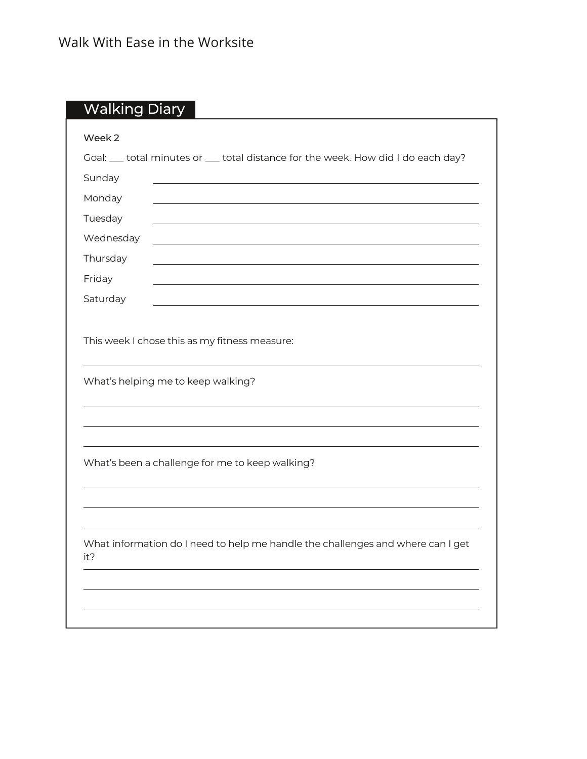| Week 2    |                                                                                  |
|-----------|----------------------------------------------------------------------------------|
|           | Goal: __ total minutes or __ total distance for the week. How did I do each day? |
| Sunday    |                                                                                  |
| Monday    |                                                                                  |
| Tuesday   |                                                                                  |
| Wednesday |                                                                                  |
| Thursday  | <u> 1989 - Johann Stein, fransk politik (f. 1989)</u>                            |
| Friday    |                                                                                  |
| Saturday  |                                                                                  |
|           |                                                                                  |
|           | This week I chose this as my fitness measure:                                    |
|           |                                                                                  |
|           | What's helping me to keep walking?                                               |
|           |                                                                                  |
|           |                                                                                  |
|           |                                                                                  |
|           | What's been a challenge for me to keep walking?                                  |
|           |                                                                                  |
|           |                                                                                  |
|           |                                                                                  |
| it?       | What information do I need to help me handle the challenges and where can I get  |
|           |                                                                                  |
|           |                                                                                  |
|           |                                                                                  |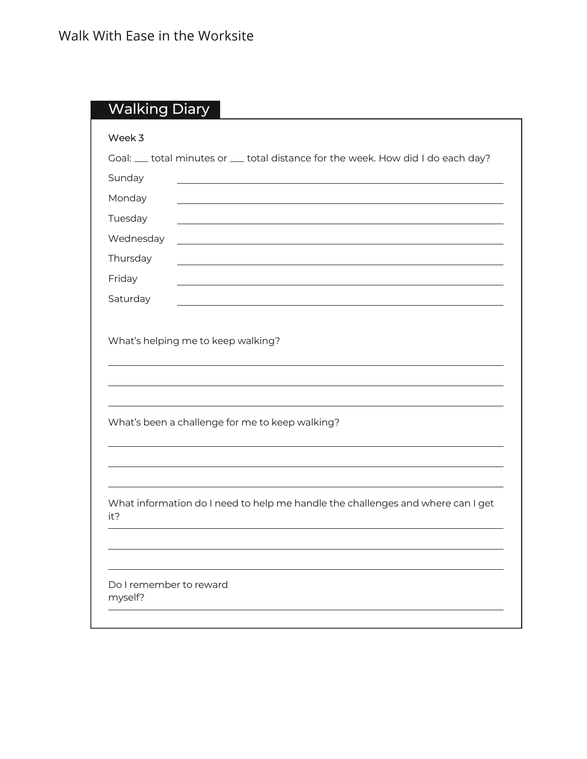| Week 3                  |                                                                                  |
|-------------------------|----------------------------------------------------------------------------------|
|                         | Goal: __ total minutes or __ total distance for the week. How did I do each day? |
| Sunday                  |                                                                                  |
| Monday                  |                                                                                  |
| Tuesday                 |                                                                                  |
| Wednesday               |                                                                                  |
| Thursday                |                                                                                  |
| Friday                  |                                                                                  |
| Saturday                |                                                                                  |
|                         | What's been a challenge for me to keep walking?                                  |
|                         |                                                                                  |
| it?                     | What information do I need to help me handle the challenges and where can I get  |
| Do I remember to reward |                                                                                  |
| myself?                 |                                                                                  |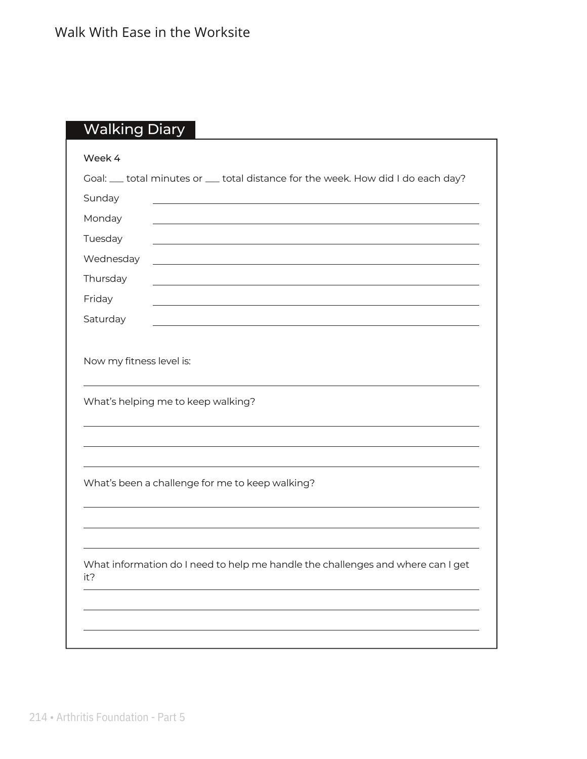| Week 4                   |                                                                                                                       |
|--------------------------|-----------------------------------------------------------------------------------------------------------------------|
|                          | Goal: __ total minutes or __ total distance for the week. How did I do each day?                                      |
| Sunday                   |                                                                                                                       |
| Monday                   |                                                                                                                       |
| Tuesday                  | <u> 1989 - Johann Stoff, deutscher Stoff, der Stoff, der Stoff, der Stoff, der Stoff, der Stoff, der Stoff, der S</u> |
| Wednesday                | <u> 1989 - Johann Stoff, Amerikaansk politiker († 1908)</u>                                                           |
| Thursday                 | <u> 1989 - Johann Barbara, martxa alemaniar arg</u>                                                                   |
| Friday                   |                                                                                                                       |
| Saturday                 |                                                                                                                       |
|                          |                                                                                                                       |
| Now my fitness level is: |                                                                                                                       |
|                          |                                                                                                                       |
|                          | What's helping me to keep walking?                                                                                    |
|                          |                                                                                                                       |
|                          |                                                                                                                       |
|                          |                                                                                                                       |
|                          | What's been a challenge for me to keep walking?                                                                       |
|                          |                                                                                                                       |
|                          |                                                                                                                       |
|                          |                                                                                                                       |
| it?                      | What information do I need to help me handle the challenges and where can I get                                       |
|                          |                                                                                                                       |
|                          |                                                                                                                       |
|                          |                                                                                                                       |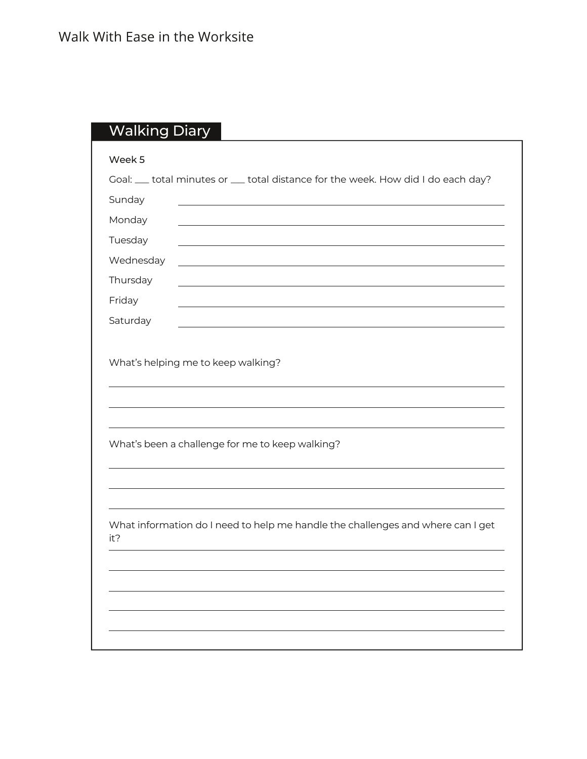|           | Goal: __ total minutes or __ total distance for the week. How did I do each day? |
|-----------|----------------------------------------------------------------------------------|
| Sunday    |                                                                                  |
| Monday    |                                                                                  |
| Tuesday   |                                                                                  |
| Wednesday |                                                                                  |
| Thursday  |                                                                                  |
| Friday    |                                                                                  |
| Saturday  |                                                                                  |
|           |                                                                                  |
|           | What's been a challenge for me to keep walking?                                  |
|           |                                                                                  |
| it?       | What information do I need to help me handle the challenges and where can I get  |
|           |                                                                                  |
|           |                                                                                  |
|           |                                                                                  |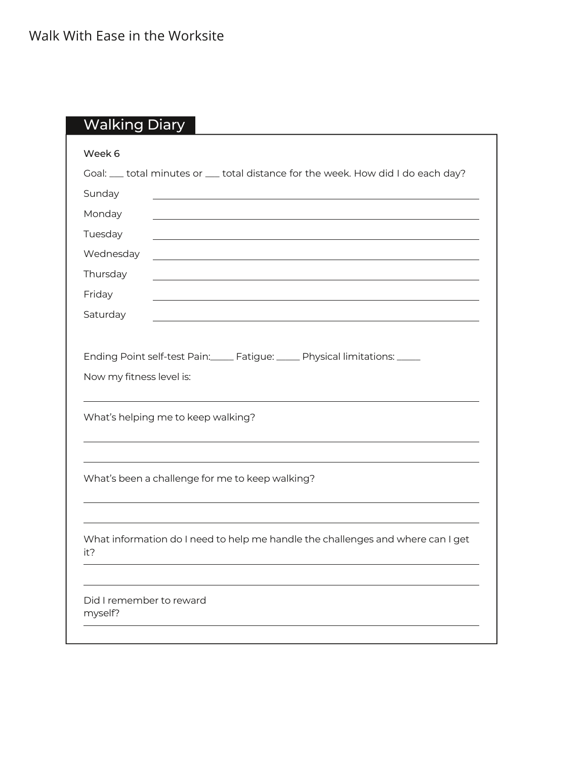| Week 6                                                                                                 |
|--------------------------------------------------------------------------------------------------------|
| Goal: __ total minutes or __ total distance for the week. How did I do each day?                       |
| Sunday                                                                                                 |
| Monday                                                                                                 |
| Tuesday                                                                                                |
| Wednesday                                                                                              |
| Thursday                                                                                               |
| Friday                                                                                                 |
| Saturday                                                                                               |
| Ending Point self-test Pain: Fatigue: U.S. Physical limitations: U.S. 2014<br>Now my fitness level is: |
| What's helping me to keep walking?                                                                     |
| What's been a challenge for me to keep walking?                                                        |
| What information do I need to help me handle the challenges and where can I get<br>it?                 |
| Did I remember to reward<br>myself?                                                                    |